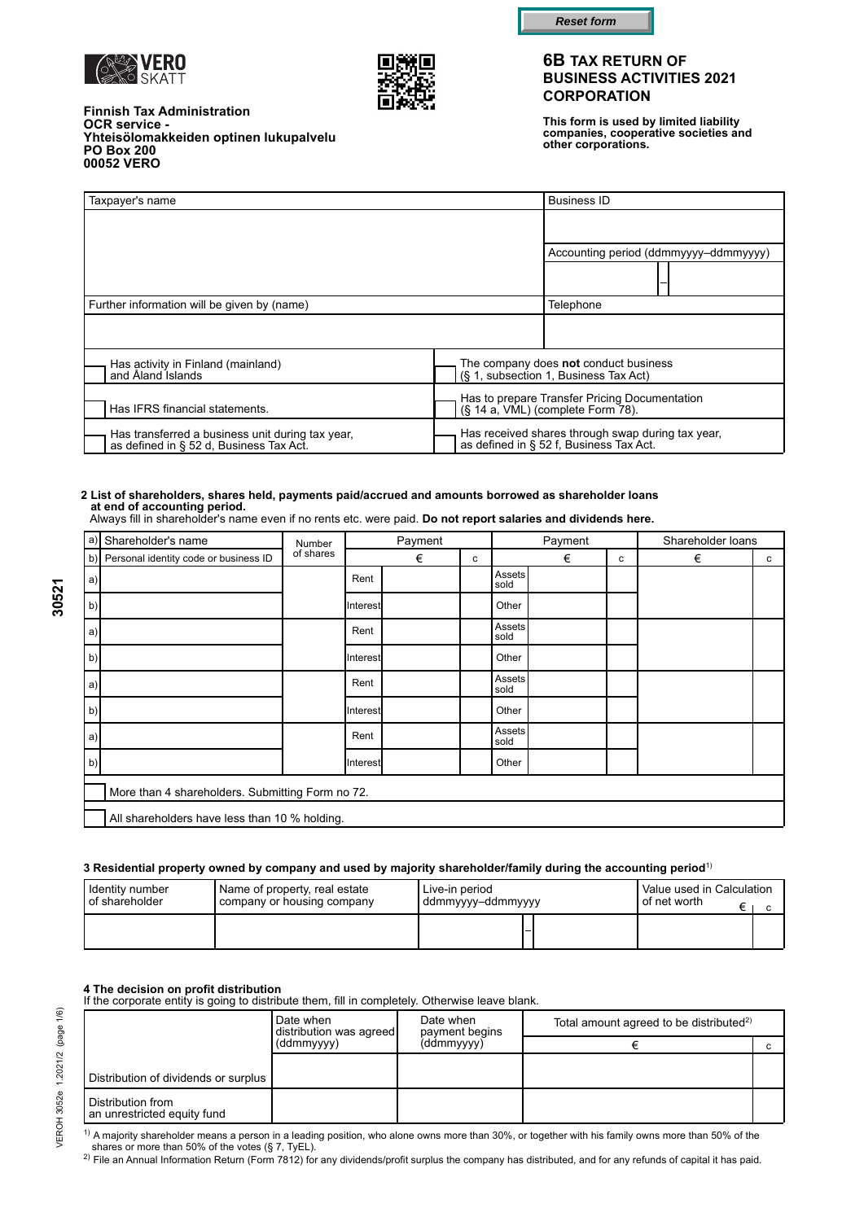



**Reset form**

## **6B TAX RETURN OF BUSINESS ACTIVITIES 2021 CORPORATION**

**This form is used by limited liability companies, cooperative societies and other corporations.**

| <b>Finnish Tax Administration</b>      |  |
|----------------------------------------|--|
| <b>OCR service -</b>                   |  |
| Yhteisölomakkeiden optinen lukupalvelu |  |
| <b>PO Box 200</b>                      |  |
| 00052 VERO                             |  |

| Taxpayer's name                                                                          |                                                                                           | <b>Business ID</b>                                                                    |                                       |
|------------------------------------------------------------------------------------------|-------------------------------------------------------------------------------------------|---------------------------------------------------------------------------------------|---------------------------------------|
|                                                                                          |                                                                                           |                                                                                       |                                       |
|                                                                                          |                                                                                           |                                                                                       | Accounting period (ddmmyyyy-ddmmyyyy) |
|                                                                                          |                                                                                           |                                                                                       |                                       |
| Further information will be given by (name)                                              |                                                                                           | Telephone                                                                             |                                       |
|                                                                                          |                                                                                           |                                                                                       |                                       |
| Has activity in Finland (mainland)<br>and Åland Islands                                  |                                                                                           | The company does <b>not</b> conduct business<br>(§ 1, subsection 1, Business Tax Act) |                                       |
| Has IFRS financial statements.                                                           | Has to prepare Transfer Pricing Documentation<br>(§ 14 a, VML) (complete Form 78).        |                                                                                       |                                       |
| Has transferred a business unit during tax year, as defined in § 52 d, Business Tax Act. | Has received shares through swap during tax year, as defined in § 52 f, Business Tax Act. |                                                                                       |                                       |

#### **2 List of shareholders, shares held, payments paid/accrued and amounts borrowed as shareholder loans at end of accounting period.**

Always fill in shareholder's name even if no rents etc. were paid. **Do not report salaries and dividends here.**

| a) | Shareholder's name                               | Payment<br>Number |          | Payment |   |                | Shareholder loans |   |   |   |
|----|--------------------------------------------------|-------------------|----------|---------|---|----------------|-------------------|---|---|---|
|    | b) Personal identity code or business ID         | of shares         |          | €       | c |                | €                 | c | € | с |
| a  |                                                  |                   | Rent     |         |   | Assets<br>sold |                   |   |   |   |
| b) |                                                  |                   | Interest |         |   | Other          |                   |   |   |   |
| a) |                                                  |                   | Rent     |         |   | Assets<br>sold |                   |   |   |   |
| b) |                                                  |                   | Interest |         |   | Other          |                   |   |   |   |
| a) |                                                  |                   | Rent     |         |   | Assets<br>sold |                   |   |   |   |
| b) |                                                  |                   | Interest |         |   | Other          |                   |   |   |   |
| a) |                                                  |                   | Rent     |         |   | Assets<br>sold |                   |   |   |   |
| b) |                                                  |                   | Interest |         |   | Other          |                   |   |   |   |
|    | More than 4 shareholders. Submitting Form no 72. |                   |          |         |   |                |                   |   |   |   |
|    | All shareholders have less than 10 % holding.    |                   |          |         |   |                |                   |   |   |   |

#### **3 Residential property owned by company and used by majority shareholder/family during the accounting period**1)

| Identity number         | Name of property, real estate | Live-in period      | Value used in Calculation |
|-------------------------|-------------------------------|---------------------|---------------------------|
| <b>I</b> of shareholder | company or housing company    | I ddmmyyyy–ddmmyyyy | <b>I</b> of net worth_    |
|                         |                               |                     |                           |

**4 The decision on profit distribution**<br>If the corporate entity is going to distribute them, fill in completely. Otherwise leave blank.

|                                                  | Date when<br>distribution was agreed | Date when<br>payment begins | Total amount agreed to be distributed <sup>2)</sup> |  |  |
|--------------------------------------------------|--------------------------------------|-----------------------------|-----------------------------------------------------|--|--|
|                                                  | (ddmmyyyy)                           | (ddmmyyyy)                  |                                                     |  |  |
|                                                  |                                      |                             |                                                     |  |  |
| Distribution of dividends or surplus             |                                      |                             |                                                     |  |  |
| Distribution from<br>an unrestricted equity fund |                                      |                             |                                                     |  |  |

 $1)$  A majority shareholder means a person in a leading position, who alone owns more than 30%, or together with his family owns more than 50% of the shares or more than 50% of the votes (§ 7, TyEL).

2) File an Annual Information Return (Form 7812) for any dividends/profit surplus the company has distributed, and for any refunds of capital it has paid.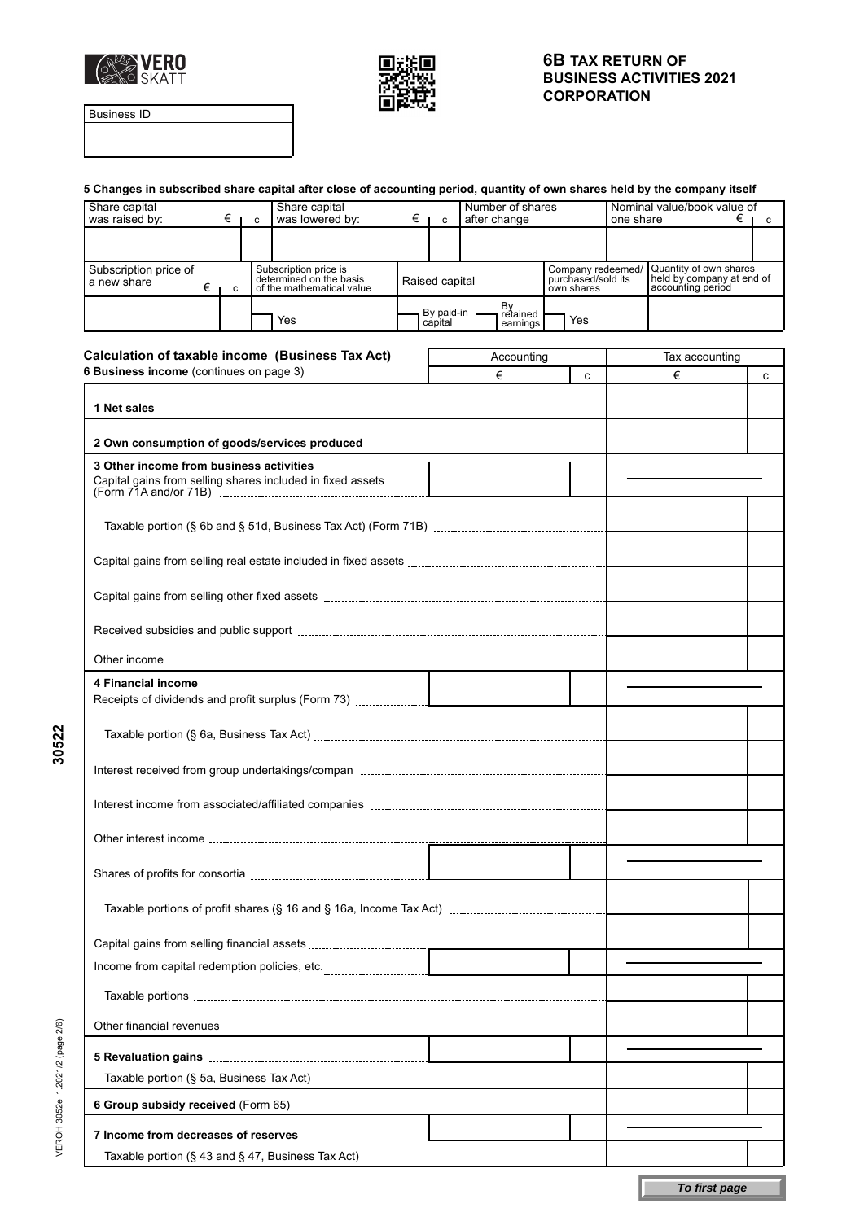



Business ID

| 5 Changes in subscribed share capital after close of accounting period, quantity of own shares held by the company itself |   |  |                                                                               |  |                |                                          |                                                       |     |                                                                          |   |
|---------------------------------------------------------------------------------------------------------------------------|---|--|-------------------------------------------------------------------------------|--|----------------|------------------------------------------|-------------------------------------------------------|-----|--------------------------------------------------------------------------|---|
| Share capital<br>Share capital<br>was raised by:<br>was lowered by:<br>$\epsilon$   c<br>€⊥<br>$\overline{\mathbf{C}}$    |   |  | Number of shares<br>after change                                              |  |                | Nominal value/book value of<br>one share |                                                       | €іс |                                                                          |   |
|                                                                                                                           |   |  |                                                                               |  |                |                                          |                                                       |     |                                                                          |   |
|                                                                                                                           |   |  |                                                                               |  |                |                                          |                                                       |     |                                                                          |   |
| Subscription price of<br>a new share<br>€                                                                                 | C |  | Subscription price is<br>determined on the basis<br>of the mathematical value |  | Raised capital |                                          | Company redeemed/<br>purchased/sold its<br>own shares |     | Quantity of own shares<br>held by company at end of<br>accounting period |   |
|                                                                                                                           |   |  |                                                                               |  | By paid-in     | By<br>retained                           |                                                       |     |                                                                          |   |
|                                                                                                                           |   |  | Yes                                                                           |  | capital        | earnings                                 | Yes                                                   |     |                                                                          |   |
| Calculation of taxable income (Business Tax Act)                                                                          |   |  |                                                                               |  |                | Accounting                               |                                                       |     | Tax accounting                                                           |   |
| 6 Business income (continues on page 3)                                                                                   |   |  |                                                                               |  |                | €                                        | C                                                     |     | €                                                                        | c |
| 1 Net sales                                                                                                               |   |  |                                                                               |  |                |                                          |                                                       |     |                                                                          |   |
| 2 Own consumption of goods/services produced                                                                              |   |  |                                                                               |  |                |                                          |                                                       |     |                                                                          |   |
| 3 Other income from business activities                                                                                   |   |  |                                                                               |  |                |                                          |                                                       |     |                                                                          |   |
| Capital gains from selling shares included in fixed assets                                                                |   |  |                                                                               |  |                |                                          |                                                       |     |                                                                          |   |
|                                                                                                                           |   |  |                                                                               |  |                |                                          |                                                       |     |                                                                          |   |
|                                                                                                                           |   |  |                                                                               |  |                |                                          |                                                       |     |                                                                          |   |
|                                                                                                                           |   |  |                                                                               |  |                |                                          |                                                       |     |                                                                          |   |
|                                                                                                                           |   |  |                                                                               |  |                |                                          |                                                       |     |                                                                          |   |
| Other income                                                                                                              |   |  |                                                                               |  |                |                                          |                                                       |     |                                                                          |   |
| <b>4 Financial income</b>                                                                                                 |   |  |                                                                               |  |                |                                          |                                                       |     |                                                                          |   |
|                                                                                                                           |   |  |                                                                               |  |                |                                          |                                                       |     |                                                                          |   |
|                                                                                                                           |   |  |                                                                               |  |                |                                          |                                                       |     |                                                                          |   |
|                                                                                                                           |   |  |                                                                               |  |                |                                          |                                                       |     |                                                                          |   |
|                                                                                                                           |   |  |                                                                               |  |                |                                          |                                                       |     |                                                                          |   |
|                                                                                                                           |   |  |                                                                               |  |                |                                          |                                                       |     |                                                                          |   |
|                                                                                                                           |   |  |                                                                               |  |                |                                          |                                                       |     |                                                                          |   |
|                                                                                                                           |   |  |                                                                               |  |                |                                          |                                                       |     |                                                                          |   |
|                                                                                                                           |   |  |                                                                               |  |                |                                          |                                                       |     |                                                                          |   |
|                                                                                                                           |   |  |                                                                               |  |                |                                          |                                                       |     |                                                                          |   |
|                                                                                                                           |   |  |                                                                               |  |                |                                          |                                                       |     |                                                                          |   |
| Other financial revenues                                                                                                  |   |  |                                                                               |  |                |                                          |                                                       |     |                                                                          |   |
|                                                                                                                           |   |  |                                                                               |  |                |                                          |                                                       |     |                                                                          |   |
| Taxable portion (§ 5a, Business Tax Act)                                                                                  |   |  |                                                                               |  |                |                                          |                                                       |     |                                                                          |   |
| 6 Group subsidy received (Form 65)                                                                                        |   |  |                                                                               |  |                |                                          |                                                       |     |                                                                          |   |
|                                                                                                                           |   |  |                                                                               |  |                |                                          |                                                       |     |                                                                          |   |
| Taxable portion (§ 43 and § 47, Business Tax Act)                                                                         |   |  |                                                                               |  |                |                                          |                                                       |     |                                                                          |   |
|                                                                                                                           |   |  |                                                                               |  |                |                                          |                                                       |     |                                                                          |   |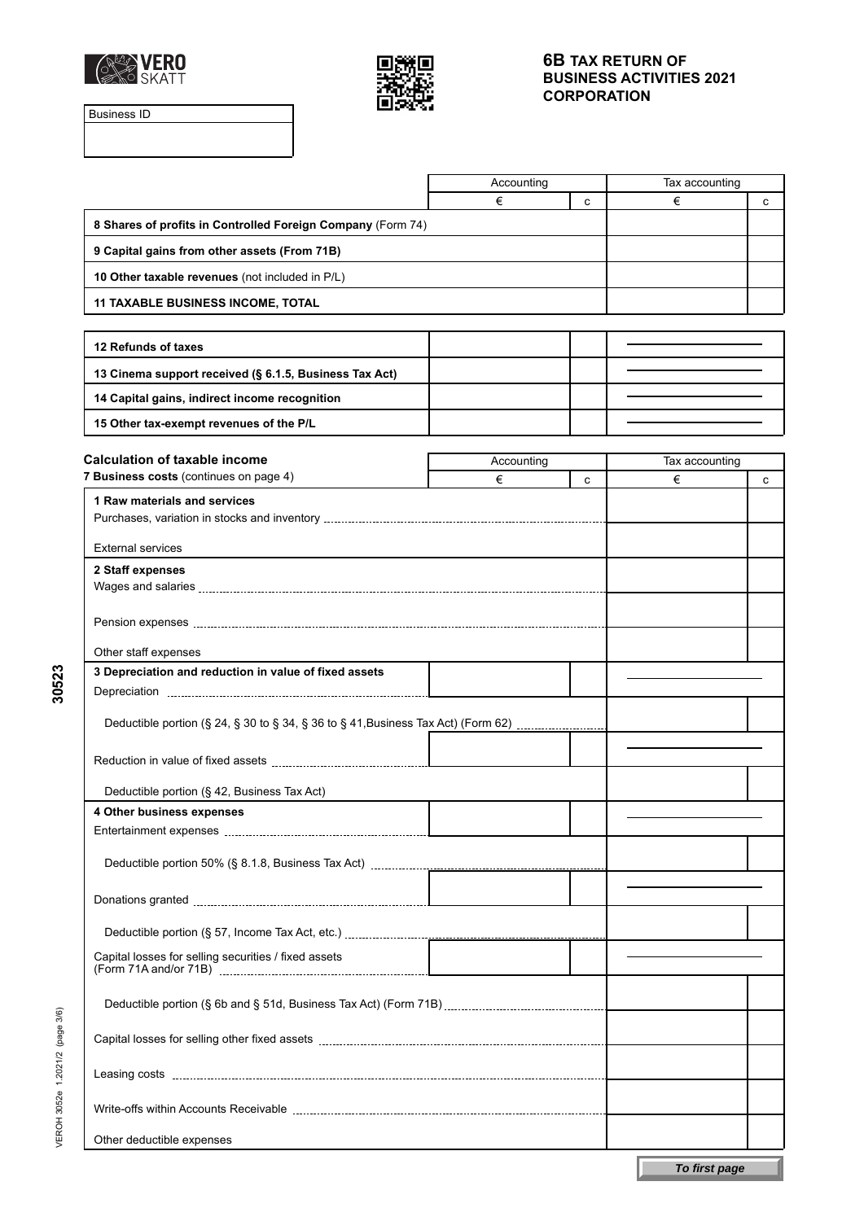



Business ID

|                                                                                   | Accounting |   | Tax accounting |   |
|-----------------------------------------------------------------------------------|------------|---|----------------|---|
|                                                                                   | €          | C | €              | c |
| 8 Shares of profits in Controlled Foreign Company (Form 74)                       |            |   |                |   |
| 9 Capital gains from other assets (From 71B)                                      |            |   |                |   |
| 10 Other taxable revenues (not included in P/L)                                   |            |   |                |   |
| <b>11 TAXABLE BUSINESS INCOME, TOTAL</b>                                          |            |   |                |   |
|                                                                                   |            |   |                |   |
| 12 Refunds of taxes                                                               |            |   |                |   |
| 13 Cinema support received (§ 6.1.5, Business Tax Act)                            |            |   |                |   |
| 14 Capital gains, indirect income recognition                                     |            |   |                |   |
| 15 Other tax-exempt revenues of the P/L                                           |            |   |                |   |
| <b>Calculation of taxable income</b>                                              | Accounting |   | Tax accounting |   |
| 7 Business costs (continues on page 4)                                            | €          | C | €              | с |
| 1 Raw materials and services                                                      |            |   |                |   |
|                                                                                   |            |   |                |   |
| <b>External services</b>                                                          |            |   |                |   |
| 2 Staff expenses                                                                  |            |   |                |   |
|                                                                                   |            |   |                |   |
|                                                                                   |            |   |                |   |
| Other staff expenses                                                              |            |   |                |   |
| 3 Depreciation and reduction in value of fixed assets                             |            |   |                |   |
|                                                                                   |            |   |                |   |
| Deductible portion (§ 24, § 30 to § 34, § 36 to § 41, Business Tax Act) (Form 62) |            |   |                |   |
|                                                                                   |            |   |                |   |
| Deductible portion (§ 42, Business Tax Act)                                       |            |   |                |   |
| 4 Other business expenses                                                         |            |   |                |   |
|                                                                                   |            |   |                |   |
|                                                                                   |            |   |                |   |
|                                                                                   |            |   |                |   |
|                                                                                   |            |   |                |   |
|                                                                                   |            |   |                |   |
| Capital losses for selling securities / fixed assets                              |            |   |                |   |
|                                                                                   |            |   |                |   |
|                                                                                   |            |   |                |   |
|                                                                                   |            |   |                |   |
|                                                                                   |            |   |                |   |
| Other deductible expenses                                                         |            |   |                |   |
|                                                                                   |            |   |                |   |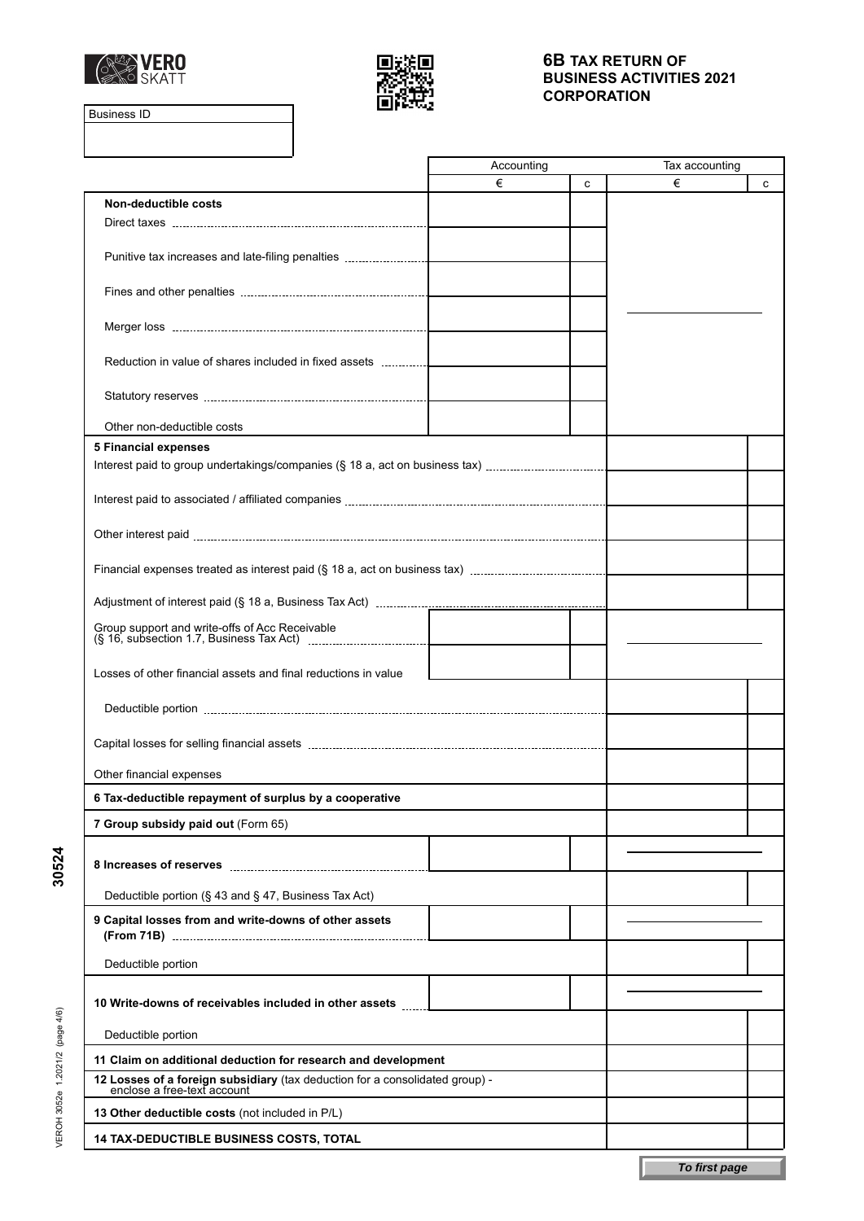



Business ID

|                                                                                                             | Accounting |   | Tax accounting |   |
|-------------------------------------------------------------------------------------------------------------|------------|---|----------------|---|
|                                                                                                             | €          | C | €              | C |
| Non-deductible costs                                                                                        |            |   |                |   |
|                                                                                                             |            |   |                |   |
| Punitive tax increases and late-filing penalties                                                            |            |   |                |   |
|                                                                                                             |            |   |                |   |
|                                                                                                             |            |   |                |   |
|                                                                                                             |            |   |                |   |
|                                                                                                             |            |   |                |   |
| Reduction in value of shares included in fixed assets                                                       |            |   |                |   |
|                                                                                                             |            |   |                |   |
|                                                                                                             |            |   |                |   |
| Other non-deductible costs                                                                                  |            |   |                |   |
| <b>5 Financial expenses</b>                                                                                 |            |   |                |   |
| Interest paid to group undertakings/companies (§ 18 a, act on business tax)                                 |            |   |                |   |
|                                                                                                             |            |   |                |   |
|                                                                                                             |            |   |                |   |
|                                                                                                             |            |   |                |   |
|                                                                                                             |            |   |                |   |
|                                                                                                             |            |   |                |   |
|                                                                                                             |            |   |                |   |
|                                                                                                             |            |   |                |   |
|                                                                                                             |            |   |                |   |
| Losses of other financial assets and final reductions in value                                              |            |   |                |   |
|                                                                                                             |            |   |                |   |
|                                                                                                             |            |   |                |   |
|                                                                                                             |            |   |                |   |
|                                                                                                             |            |   |                |   |
| Other financial expenses                                                                                    |            |   |                |   |
| 6 Tax-deductible repayment of surplus by a cooperative                                                      |            |   |                |   |
| 7 Group subsidy paid out (Form 65)                                                                          |            |   |                |   |
|                                                                                                             |            |   |                |   |
|                                                                                                             |            |   |                |   |
| Deductible portion (§ 43 and § 47, Business Tax Act)                                                        |            |   |                |   |
| 9 Capital losses from and write-downs of other assets                                                       |            |   |                |   |
|                                                                                                             |            |   |                |   |
| Deductible portion                                                                                          |            |   |                |   |
|                                                                                                             |            |   |                |   |
| 10 Write-downs of receivables included in other assets                                                      |            |   |                |   |
|                                                                                                             |            |   |                |   |
| Deductible portion                                                                                          |            |   |                |   |
| 11 Claim on additional deduction for research and development                                               |            |   |                |   |
| 12 Losses of a foreign subsidiary (tax deduction for a consolidated group) -<br>enclose a free-text account |            |   |                |   |
| 13 Other deductible costs (not included in P/L)                                                             |            |   |                |   |
| <b>14 TAX-DEDUCTIBLE BUSINESS COSTS, TOTAL</b>                                                              |            |   |                |   |
|                                                                                                             |            |   |                |   |
|                                                                                                             |            |   | To first page  |   |

VEROH 3052e 1.2021/2 (page 4/6) VEROH 3052e 1.2021/2 (page 4/6)

**30524**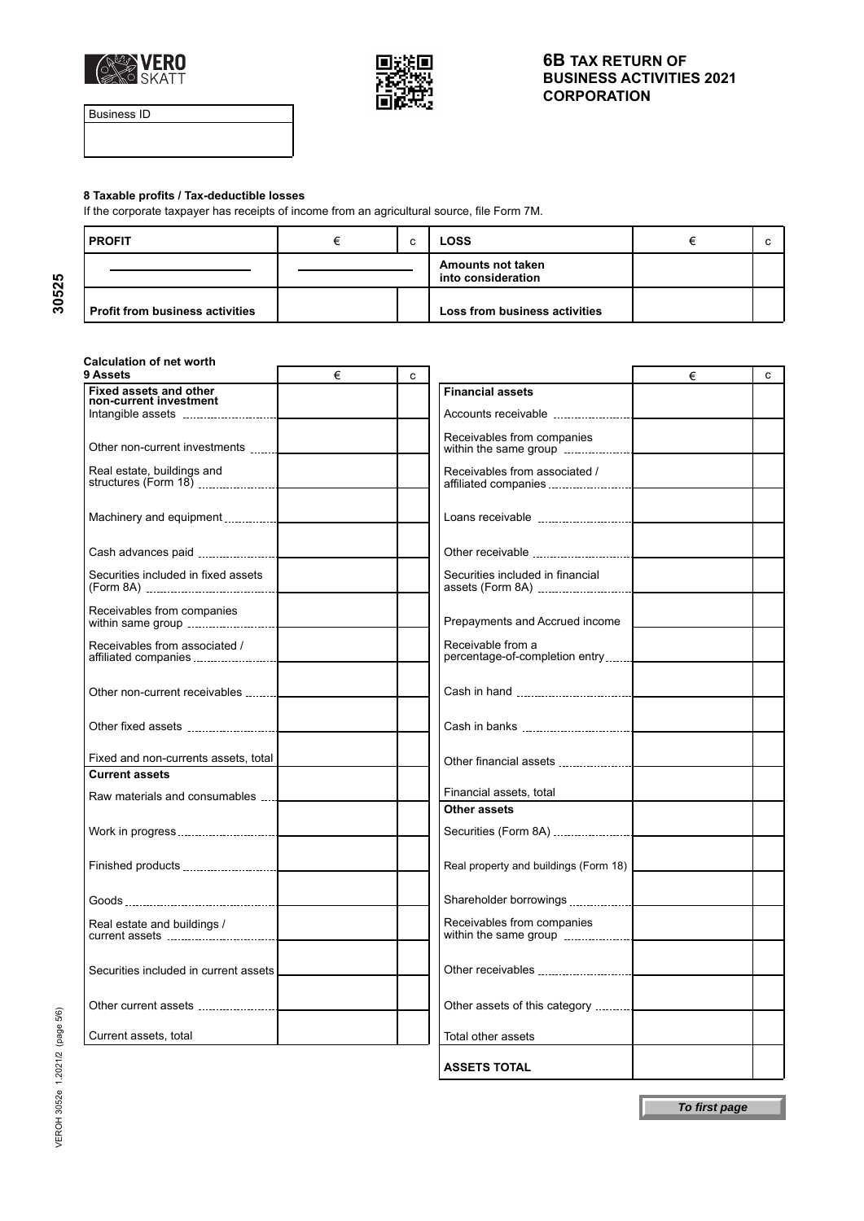



Business ID

**30525**

#### **8 Taxable profits / Tax-deductible losses**

If the corporate taxpayer has receipts of income from an agricultural source, file Form 7M.

| <b>PROFIT</b>                          |  |  | <b>LOSS</b>                                    |  |
|----------------------------------------|--|--|------------------------------------------------|--|
|                                        |  |  | <b>Amounts not taken</b><br>into consideration |  |
| <b>Profit from business activities</b> |  |  | Loss from business activities                  |  |

## **Calculation of net worth**

| 9 Assets                                                | € | C |                                                     | € | c |
|---------------------------------------------------------|---|---|-----------------------------------------------------|---|---|
| <b>Fixed assets and other</b><br>non-current investment |   |   | <b>Financial assets</b>                             |   |   |
|                                                         |   |   |                                                     |   |   |
| Other non-current investments                           |   |   | Receivables from companies<br>within the same group |   |   |
| Real estate, buildings and                              |   |   | Receivables from associated /                       |   |   |
| Machinery and equipment                                 |   |   |                                                     |   |   |
|                                                         |   |   |                                                     |   |   |
| Securities included in fixed assets                     |   |   | Securities included in financial                    |   |   |
| Receivables from companies                              |   |   | Prepayments and Accrued income                      |   |   |
| Receivables from associated /<br>affiliated companies   |   |   | Receivable from a<br>percentage-of-completion entry |   |   |
| Other non-current receivables                           |   |   |                                                     |   |   |
|                                                         |   |   |                                                     |   |   |
| Fixed and non-currents assets, total                    |   |   |                                                     |   |   |
| <b>Current assets</b>                                   |   |   |                                                     |   |   |
| Raw materials and consumables <b>.</b>                  |   |   | Financial assets, total                             |   |   |
|                                                         |   |   | <b>Other assets</b>                                 |   |   |
|                                                         |   |   | Securities (Form 8A)                                |   |   |
|                                                         |   |   | Real property and buildings (Form 18)               |   |   |
|                                                         |   |   |                                                     |   |   |
| Real estate and buildings /                             |   |   | Receivables from companies<br>within the same group |   |   |
| Securities included in current assets                   |   |   |                                                     |   |   |
|                                                         |   |   | Other assets of this category                       |   |   |
| Current assets, total                                   |   |   | Total other assets                                  |   |   |
|                                                         |   |   | <b>ASSETS TOTAL</b>                                 |   |   |